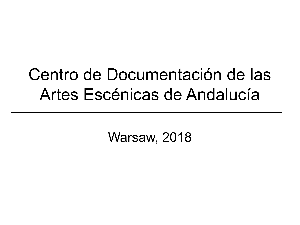## Centro de Documentación de las Artes Escénicas de Andalucía

Warsaw, 2018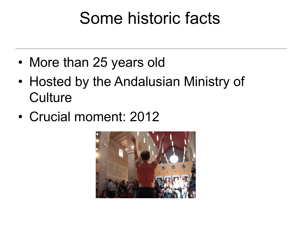# Some historic facts

- More than 25 years old
- Hosted by the Andalusian Ministry of **Culture**
- Crucial moment: 2012

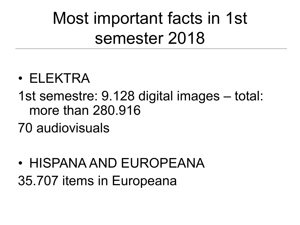Most important facts in 1st semester 2018

- ELEKTRA
- 1st semestre: 9.128 digital images total: more than 280.916
- 70 audiovisuals
- HISPANA AND EUROPEANA 35.707 items in Europeana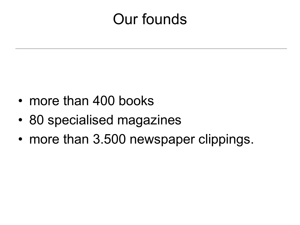### Our founds

- more than 400 books
- 80 specialised magazines
- more than 3.500 newspaper clippings.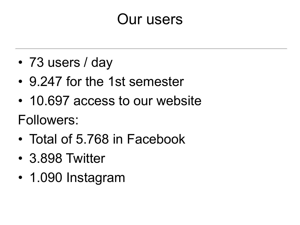#### Our users

- 73 users / day
- 9.247 for the 1st semester
- 10.697 access to our website

Followers:

- Total of 5.768 in Facebook
- 3.898 Twitter
- 1.090 Instagram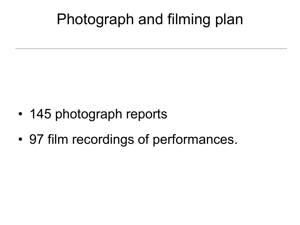## Photograph and filming plan

- 145 photograph reports
- 97 film recordings of performances.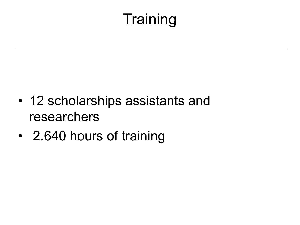# **Training**

- 12 scholarships assistants and researchers
- 2.640 hours of training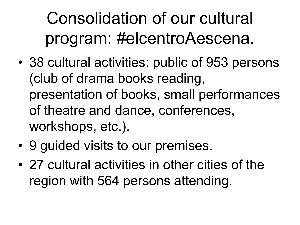Consolidation of our cultural program: #elcentroAescena.

- 38 cultural activities: public of 953 persons (club of drama books reading, presentation of books, small performances of theatre and dance, conferences, workshops, etc.).
- 9 guided visits to our premises.
- 27 cultural activities in other cities of the region with 564 persons attending.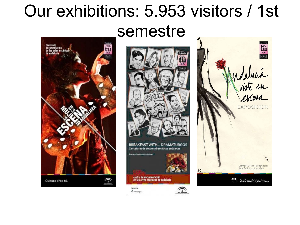## Our exhibitions: 5.953 visitors / 1st semestre





Ammaps

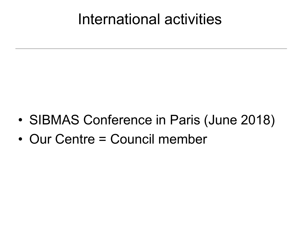#### International activities

- SIBMAS Conference in Paris (June 2018)
- Our Centre = Council member